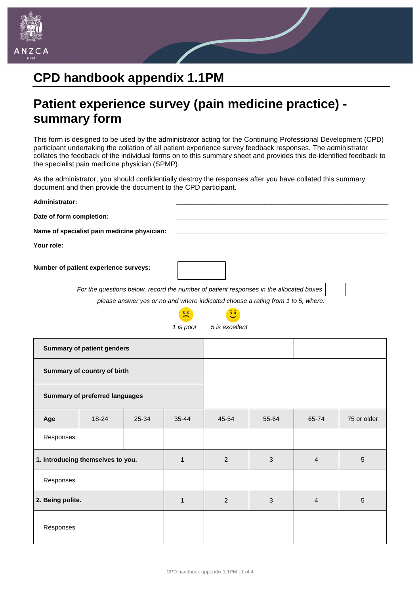

## **CPD handbook appendix 1.1PM**

## **Patient experience survey (pain medicine practice) summary form**

This form is designed to be used by the administrator acting for the Continuing Professional Development (CPD) participant undertaking the collation of all patient experience survey feedback responses. The administrator collates the feedback of the individual forms on to this summary sheet and provides this de-identified feedback to the specialist pain medicine physician (SPMP).

As the administrator, you should confidentially destroy the responses after you have collated this summary document and then provide the document to the CPD participant.

| <b>Administrator:</b>                                                                  |       |       |                                                 |                     |       |                |                |  |  |  |  |
|----------------------------------------------------------------------------------------|-------|-------|-------------------------------------------------|---------------------|-------|----------------|----------------|--|--|--|--|
| Date of form completion:                                                               |       |       |                                                 |                     |       |                |                |  |  |  |  |
| Name of specialist pain medicine physician:                                            |       |       |                                                 |                     |       |                |                |  |  |  |  |
| Your role:                                                                             |       |       |                                                 |                     |       |                |                |  |  |  |  |
| Number of patient experience surveys:                                                  |       |       |                                                 |                     |       |                |                |  |  |  |  |
| For the questions below, record the number of patient responses in the allocated boxes |       |       |                                                 |                     |       |                |                |  |  |  |  |
| please answer yes or no and where indicated choose a rating from 1 to 5, where:        |       |       |                                                 |                     |       |                |                |  |  |  |  |
|                                                                                        |       |       | $\widehat{\mathtt{v}}$ . $\widehat{\mathtt{v}}$ | $\widehat{\bullet}$ |       |                |                |  |  |  |  |
|                                                                                        |       |       | 1 is poor                                       | 5 is excellent      |       |                |                |  |  |  |  |
| <b>Summary of patient genders</b>                                                      |       |       |                                                 |                     |       |                |                |  |  |  |  |
| Summary of country of birth                                                            |       |       |                                                 |                     |       |                |                |  |  |  |  |
| <b>Summary of preferred languages</b>                                                  |       |       |                                                 |                     |       |                |                |  |  |  |  |
| Age                                                                                    | 18-24 | 25-34 | 35-44                                           | 45-54               | 55-64 | 65-74          | 75 or older    |  |  |  |  |
| Responses                                                                              |       |       |                                                 |                     |       |                |                |  |  |  |  |
| 1. Introducing themselves to you.<br>$\mathbf{1}$                                      |       |       |                                                 | $\overline{2}$      | 3     | $\overline{4}$ | 5              |  |  |  |  |
| Responses                                                                              |       |       |                                                 |                     |       |                |                |  |  |  |  |
| 2. Being polite.                                                                       |       |       | $\mathbf{1}$                                    | $\overline{2}$      | 3     | $\overline{4}$ | $\overline{5}$ |  |  |  |  |
| Responses                                                                              |       |       |                                                 |                     |       |                |                |  |  |  |  |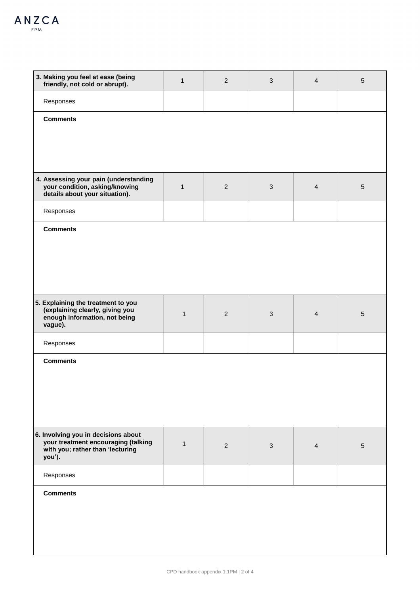| 3. Making you feel at ease (being<br>friendly, not cold or abrupt).                                       | $\mathbf{1}$ | 2              | $\ensuremath{\mathsf{3}}$ | $\overline{4}$ | $\sqrt{5}$     |
|-----------------------------------------------------------------------------------------------------------|--------------|----------------|---------------------------|----------------|----------------|
| Responses                                                                                                 |              |                |                           |                |                |
| <b>Comments</b>                                                                                           |              |                |                           |                |                |
|                                                                                                           |              |                |                           |                |                |
|                                                                                                           |              |                |                           |                |                |
| 4. Assessing your pain (understanding<br>your condition, asking/knowing<br>details about your situation). | $\mathbf{1}$ | 2              | $\ensuremath{\mathsf{3}}$ | $\overline{4}$ | $\sqrt{5}$     |
| Responses                                                                                                 |              |                |                           |                |                |
| <b>Comments</b>                                                                                           |              |                |                           |                |                |
|                                                                                                           |              |                |                           |                |                |
|                                                                                                           |              |                |                           |                |                |
| 5. Explaining the treatment to you                                                                        |              |                |                           |                |                |
| (explaining clearly, giving you<br>enough information, not being<br>vague).                               | $\mathbf{1}$ | $\overline{2}$ | $\ensuremath{\mathsf{3}}$ | $\overline{4}$ | $\sqrt{5}$     |
| Responses                                                                                                 |              |                |                           |                |                |
| <b>Comments</b>                                                                                           |              |                |                           |                |                |
|                                                                                                           |              |                |                           |                |                |
|                                                                                                           |              |                |                           |                |                |
| 6. Involving you in decisions about                                                                       |              |                |                           |                |                |
| your treatment encouraging (talking<br>with you; rather than 'lecturing<br>you').                         | $\mathbf{1}$ | 2              | $\mathbf{3}$              | $\overline{4}$ | $\overline{5}$ |
| Responses                                                                                                 |              |                |                           |                |                |
| <b>Comments</b>                                                                                           |              |                |                           |                |                |
|                                                                                                           |              |                |                           |                |                |
|                                                                                                           |              |                |                           |                |                |
|                                                                                                           |              |                |                           |                |                |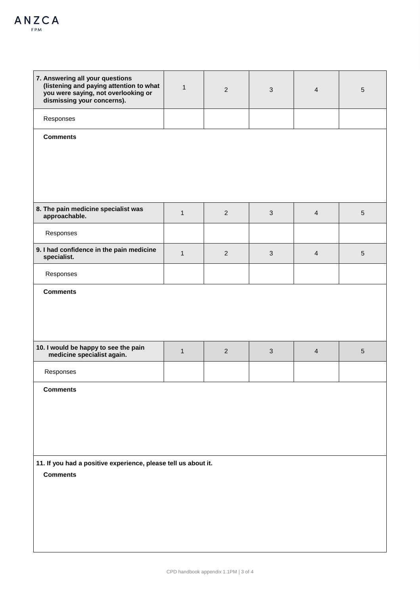

**11. If you had a positive experience, please tell us about it.**

**Comments**